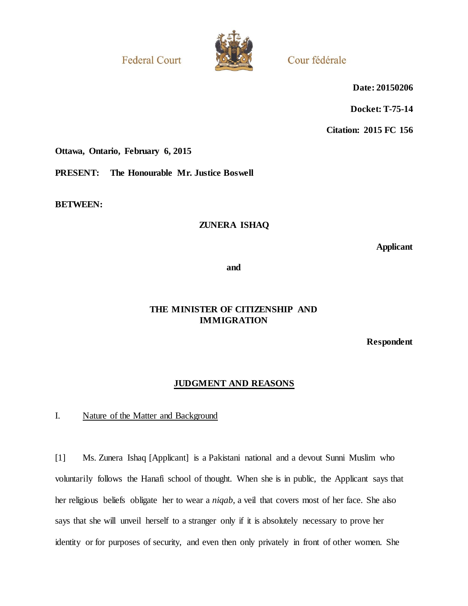**Federal Court** 



Cour fédérale

**Date: 20150206**

**Docket: T-75-14**

**Citation: 2015 FC 156**

**Ottawa, Ontario, February 6, 2015**

**PRESENT: The Honourable Mr. Justice Boswell**

**BETWEEN:**

## **ZUNERA ISHAQ**

**Applicant**

**and**

## **THE MINISTER OF CITIZENSHIP AND IMMIGRATION**

**Respondent**

## **JUDGMENT AND REASONS**

I. Nature of the Matter and Background

[1] Ms. Zunera Ishaq [Applicant] is a Pakistani national and a devout Sunni Muslim who voluntarily follows the Hanafi school of thought. When she is in public, the Applicant says that her religious beliefs obligate her to wear a *niqab*, a veil that covers most of her face. She also says that she will unveil herself to a stranger only if it is absolutely necessary to prove her identity or for purposes of security, and even then only privately in front of other women. She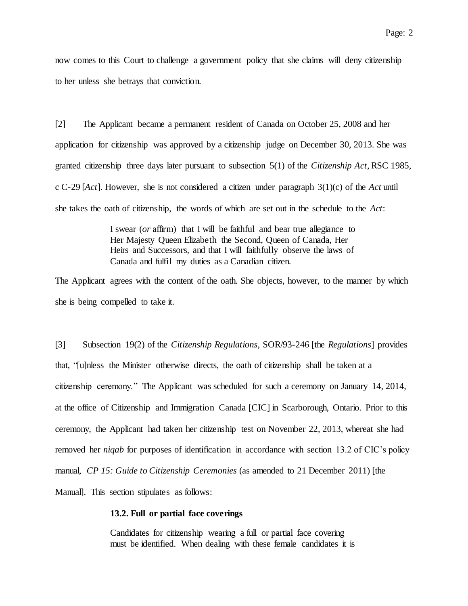[2] The Applicant became a permanent resident of Canada on October 25, 2008 and her application for citizenship was approved by a citizenship judge on December 30, 2013. She was granted citizenship three days later pursuant to subsection 5(1) of the *Citizenship Act*, RSC 1985, c C-29 [*Act*]. However, she is not considered a citizen under paragraph 3(1)(c) of the *Act* until she takes the oath of citizenship, the words of which are set out in the schedule to the *Act*:

> I swear (*or* affirm) that I will be faithful and bear true allegiance to Her Majesty Queen Elizabeth the Second, Queen of Canada, Her Heirs and Successors, and that I will faithfully observe the laws of Canada and fulfil my duties as a Canadian citizen.

The Applicant agrees with the content of the oath. She objects, however, to the manner by which she is being compelled to take it.

[3] Subsection 19(2) of the *Citizenship Regulations*, SOR/93-246 [the *Regulations*] provides that, "[u]nless the Minister otherwise directs, the oath of citizenship shall be taken at a citizenship ceremony." The Applicant was scheduled for such a ceremony on January 14, 2014, at the office of Citizenship and Immigration Canada [CIC] in Scarborough, Ontario. Prior to this ceremony, the Applicant had taken her citizenship test on November 22, 2013, whereat she had removed her *niqab* for purposes of identification in accordance with section 13.2 of CIC's policy manual, *CP 15: Guide to Citizenship Ceremonies* (as amended to 21 December 2011) [the Manual]. This section stipulates as follows:

#### **13.2. Full or partial face coverings**

Candidates for citizenship wearing a full or partial face covering must be identified. When dealing with these female candidates it is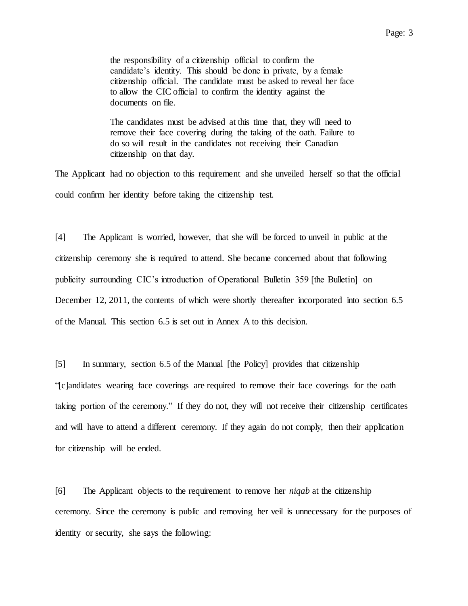Page: 3

the responsibility of a citizenship official to confirm the candidate's identity. This should be done in private, by a female citizenship official. The candidate must be asked to reveal her face to allow the CIC official to confirm the identity against the documents on file.

The candidates must be advised at this time that, they will need to remove their face covering during the taking of the oath. Failure to do so will result in the candidates not receiving their Canadian citizenship on that day.

The Applicant had no objection to this requirement and she unveiled herself so that the official could confirm her identity before taking the citizenship test.

[4] The Applicant is worried, however, that she will be forced to unveil in public at the citizenship ceremony she is required to attend. She became concerned about that following publicity surrounding CIC's introduction of Operational Bulletin 359 [the Bulletin] on December 12, 2011, the contents of which were shortly thereafter incorporated into section 6.5 of the Manual. This section 6.5 is set out in Annex A to this decision.

[5] In summary, section 6.5 of the Manual [the Policy] provides that citizenship "[c]andidates wearing face coverings are required to remove their face coverings for the oath taking portion of the ceremony." If they do not, they will not receive their citizenship certificates and will have to attend a different ceremony. If they again do not comply, then their application for citizenship will be ended.

[6] The Applicant objects to the requirement to remove her *niqab* at the citizenship ceremony. Since the ceremony is public and removing her veil is unnecessary for the purposes of identity or security, she says the following: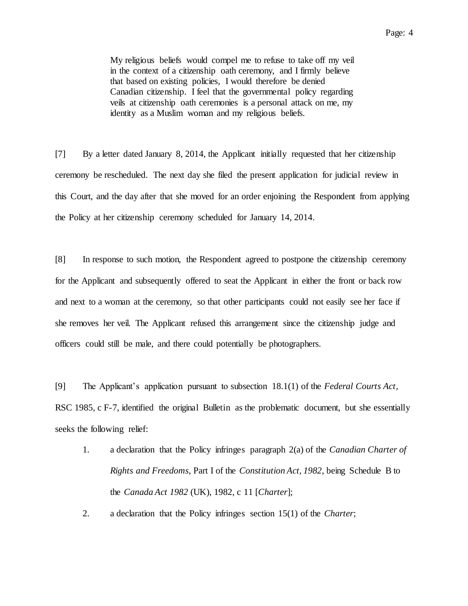My religious beliefs would compel me to refuse to take off my veil in the context of a citizenship oath ceremony, and I firmly believe that based on existing policies, I would therefore be denied Canadian citizenship. I feel that the governmental policy regarding veils at citizenship oath ceremonies is a personal attack on me, my identity as a Muslim woman and my religious beliefs.

[7] By a letter dated January 8, 2014, the Applicant initially requested that her citizenship ceremony be rescheduled. The next day she filed the present application for judicial review in this Court, and the day after that she moved for an order enjoining the Respondent from applying the Policy at her citizenship ceremony scheduled for January 14, 2014.

[8] In response to such motion, the Respondent agreed to postpone the citizenship ceremony for the Applicant and subsequently offered to seat the Applicant in either the front or back row and next to a woman at the ceremony, so that other participants could not easily see her face if she removes her veil. The Applicant refused this arrangement since the citizenship judge and officers could still be male, and there could potentially be photographers.

[9] The Applicant's application pursuant to subsection 18.1(1) of the *Federal Courts Act*, RSC 1985, c F-7, identified the original Bulletin as the problematic document, but she essentially seeks the following relief:

- 1. a declaration that the Policy infringes paragraph 2(a) of the *Canadian Charter of Rights and Freedoms*, Part I of the *Constitution Act, 1982*, being Schedule B to the *Canada Act 1982* (UK), 1982, c 11 [*Charter*];
- 2. a declaration that the Policy infringes section 15(1) of the *Charter*;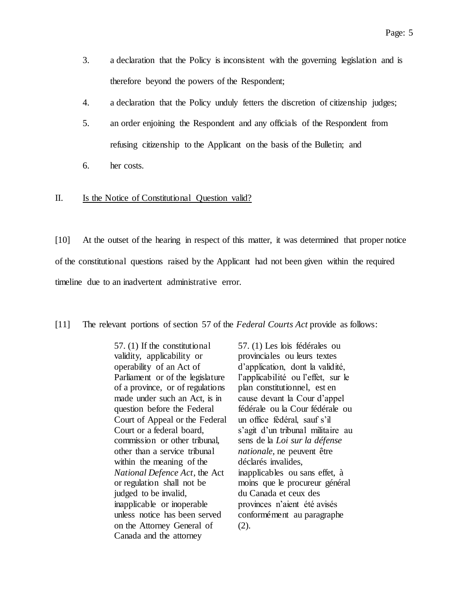- 3. a declaration that the Policy is inconsistent with the governing legislation and is therefore beyond the powers of the Respondent;
- 4. a declaration that the Policy unduly fetters the discretion of citizenship judges;
- 5. an order enjoining the Respondent and any officials of the Respondent from refusing citizenship to the Applicant on the basis of the Bulletin; and
- 6. her costs.

### II. Is the Notice of Constitutional Question valid?

[10] At the outset of the hearing in respect of this matter, it was determined that proper notice of the constitutional questions raised by the Applicant had not been given within the required timeline due to an inadvertent administrative error.

#### [11] The relevant portions of section 57 of the *Federal Courts Act* provide as follows:

57. (1) If the constitutional validity, applicability or operability of an Act of Parliament or of the legislature of a province, or of regulations made under such an Act, is in question before the Federal Court of Appeal or the Federal Court or a federal board, commission or other tribunal, other than a service tribunal within the meaning of the *National Defence Act*, the Act or regulation shall not be judged to be invalid, inapplicable or inoperable unless notice has been served on the Attorney General of Canada and the attorney

57. (1) Les lois fédérales ou provinciales ou leurs textes d'application, dont la validité, l'applicabilité ou l'effet, sur le plan constitutionnel, est en cause devant la Cour d'appel fédérale ou la Cour fédérale ou un office fédéral, sauf s'il s'agit d'un tribunal militaire au sens de la *Loi sur la défense nationale*, ne peuvent être déclarés invalides, inapplicables ou sans effet, à moins que le procureur général du Canada et ceux des provinces n'aient été avisés conformément au paragraphe (2).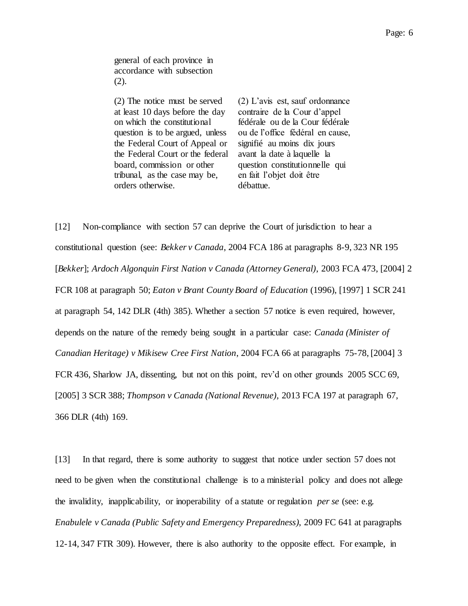(2) The notice must be served at least 10 days before the day on which the constitutional question is to be argued, unless the Federal Court of Appeal or the Federal Court or the federal board, commission or other tribunal, as the case may be, orders otherwise.

(2) L'avis est, sauf ordonnance contraire de la Cour d'appel fédérale ou de la Cour fédérale ou de l'office fédéral en cause, signifié au moins dix jours avant la date à laquelle la question constitutionnelle qui en fait l'objet doit être débattue.

[12] Non-compliance with section 57 can deprive the Court of jurisdiction to hear a constitutional question (see: *Bekker v Canada*, 2004 FCA 186 at paragraphs 8-9, 323 NR 195 [*Bekker*]; *Ardoch Algonquin First Nation v Canada (Attorney General)*, 2003 FCA 473, [2004] 2 FCR 108 at paragraph 50; *Eaton v Brant County Board of Education* (1996), [1997] 1 SCR 241 at paragraph 54, 142 DLR (4th) 385). Whether a section 57 notice is even required, however, depends on the nature of the remedy being sought in a particular case: *Canada (Minister of Canadian Heritage) v Mikisew Cree First Nation*, 2004 FCA 66 at paragraphs 75-78, [2004] 3 FCR 436, Sharlow JA, dissenting, but not on this point, rev'd on other grounds 2005 SCC 69, [2005] 3 SCR 388; *Thompson v Canada (National Revenue)*, 2013 FCA 197 at paragraph 67, 366 DLR (4th) 169.

[13] In that regard, there is some authority to suggest that notice under section 57 does not need to be given when the constitutional challenge is to a ministerial policy and does not allege the invalidity, inapplicability, or inoperability of a statute or regulation *per se* (see: e.g. *Enabulele v Canada (Public Safety and Emergency Preparedness)*, 2009 FC 641 at paragraphs 12-14, 347 FTR 309). However, there is also authority to the opposite effect. For example, in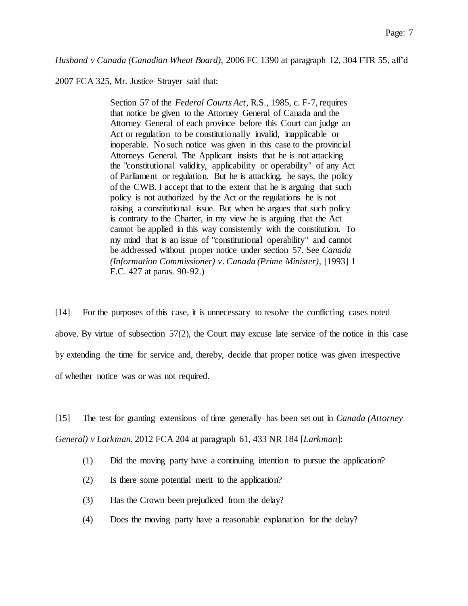*Husband v Canada (Canadian Wheat Board)*, 2006 FC 1390 at paragraph 12, 304 FTR 55, aff'd

2007 FCA 325, Mr. Justice Strayer said that:

Section 57 of the *Federal Courts Act*, R.S., 1985, c. F-7, requires that notice be given to the Attorney General of Canada and the Attorney General of each province before this Court can judge an Act or regulation to be constitutionally invalid, inapplicable or inoperable. No such notice was given in this case to the provincial Attorneys General. The Applicant insists that he is not attacking the "constitutional validity, applicability or operability" of any Act of Parliament or regulation. But he is attacking, he says, the policy of the CWB. I accept that to the extent that he is arguing that such policy is not authorized by the Act or the regulations he is not raising a constitutional issue. But when he argues that such policy is contrary to the Charter, in my view he is arguing that the Act cannot be applied in this way consistently with the constitution. To my mind that is an issue of "constitutional operability" and cannot be addressed without proper notice under section 57. See *Canada (Information Commissioner) v. Canada (Prime Minister)*, [1993] 1 F.C. 427 at paras. 90-92.)

[14] For the purposes of this case, it is unnecessary to resolve the conflicting cases noted above. By virtue of subsection 57(2), the Court may excuse late service of the notice in this case by extending the time for service and, thereby, decide that proper notice was given irrespective of whether notice was or was not required.

[15] The test for granting extensions of time generally has been set out in *Canada (Attorney General) v Larkman*, 2012 FCA 204 at paragraph 61, 433 NR 184 [*Larkman*]:

- (1) Did the moving party have a continuing intention to pursue the application?
- (2) Is there some potential merit to the application?
- (3) Has the Crown been prejudiced from the delay?
- (4) Does the moving party have a reasonable explanation for the delay?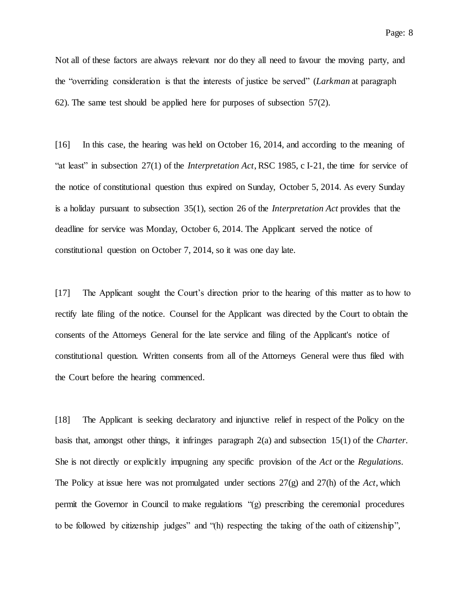Not all of these factors are always relevant nor do they all need to favour the moving party, and the "overriding consideration is that the interests of justice be served" (*Larkman* at paragraph 62). The same test should be applied here for purposes of subsection 57(2).

[16] In this case, the hearing was held on October 16, 2014, and according to the meaning of "at least" in subsection 27(1) of the *Interpretation Act*, RSC 1985, c I-21, the time for service of the notice of constitutional question thus expired on Sunday, October 5, 2014. As every Sunday is a holiday pursuant to subsection 35(1), section 26 of the *Interpretation Act* provides that the deadline for service was Monday, October 6, 2014. The Applicant served the notice of constitutional question on October 7, 2014, so it was one day late.

[17] The Applicant sought the Court's direction prior to the hearing of this matter as to how to rectify late filing of the notice. Counsel for the Applicant was directed by the Court to obtain the consents of the Attorneys General for the late service and filing of the Applicant's notice of constitutional question. Written consents from all of the Attorneys General were thus filed with the Court before the hearing commenced.

[18] The Applicant is seeking declaratory and injunctive relief in respect of the Policy on the basis that, amongst other things, it infringes paragraph 2(a) and subsection 15(1) of the *Charter*. She is not directly or explicitly impugning any specific provision of the *Act* or the *Regulations*. The Policy at issue here was not promulgated under sections 27(g) and 27(h) of the *Act*, which permit the Governor in Council to make regulations "(g) prescribing the ceremonial procedures to be followed by citizenship judges" and "(h) respecting the taking of the oath of citizenship",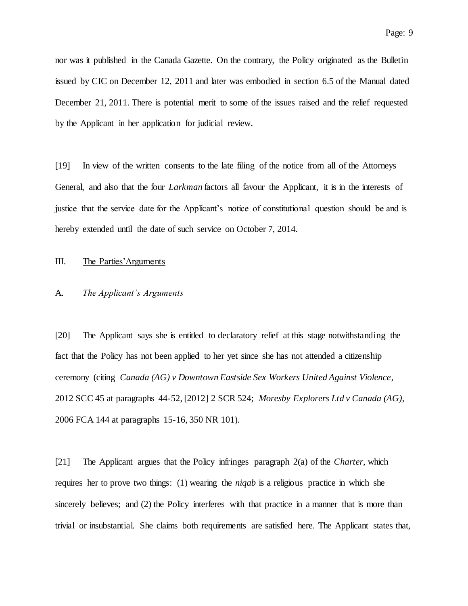nor was it published in the Canada Gazette. On the contrary, the Policy originated as the Bulletin issued by CIC on December 12, 2011 and later was embodied in section 6.5 of the Manual dated December 21, 2011. There is potential merit to some of the issues raised and the relief requested by the Applicant in her application for judicial review.

[19] In view of the written consents to the late filing of the notice from all of the Attorneys General, and also that the four *Larkman* factors all favour the Applicant, it is in the interests of justice that the service date for the Applicant's notice of constitutional question should be and is hereby extended until the date of such service on October 7, 2014.

### III. The Parties'Arguments

#### A. *The Applicant's Arguments*

[20] The Applicant says she is entitled to declaratory relief at this stage notwithstanding the fact that the Policy has not been applied to her yet since she has not attended a citizenship ceremony (citing *Canada (AG) v Downtown Eastside Sex Workers United Against Violence*, 2012 SCC 45 at paragraphs 44-52, [2012] 2 SCR 524; *Moresby Explorers Ltd v Canada (AG)*, 2006 FCA 144 at paragraphs 15-16, 350 NR 101).

[21] The Applicant argues that the Policy infringes paragraph 2(a) of the *Charter*, which requires her to prove two things: (1) wearing the *niqab* is a religious practice in which she sincerely believes; and (2) the Policy interferes with that practice in a manner that is more than trivial or insubstantial. She claims both requirements are satisfied here. The Applicant states that,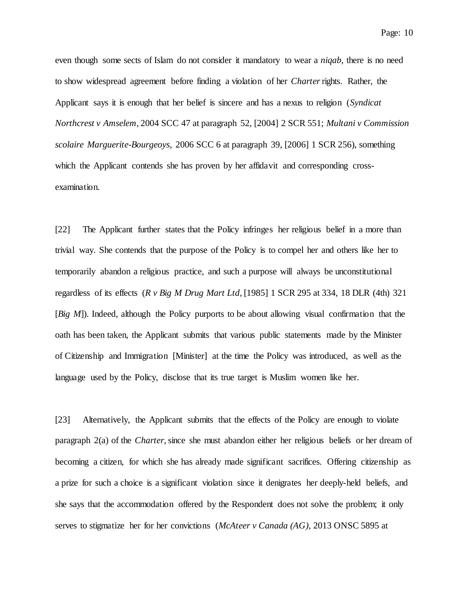even though some sects of Islam do not consider it mandatory to wear a *niqab*, there is no need to show widespread agreement before finding a violation of her *Charter*rights. Rather, the Applicant says it is enough that her belief is sincere and has a nexus to religion (*Syndicat Northcrest v Amselem*, 2004 SCC 47 at paragraph 52, [2004] 2 SCR 551; *Multani v Commission scolaire Marguerite-Bourgeoys*, 2006 SCC 6 at paragraph 39, [2006] 1 SCR 256), something which the Applicant contends she has proven by her affidavit and corresponding crossexamination.

[22] The Applicant further states that the Policy infringes her religious belief in a more than trivial way. She contends that the purpose of the Policy is to compel her and others like her to temporarily abandon a religious practice, and such a purpose will always be unconstitutional regardless of its effects (*R v Big M Drug Mart Ltd*, [1985] 1 SCR 295 at 334, 18 DLR (4th) 321 [*Big M*]). Indeed, although the Policy purports to be about allowing visual confirmation that the oath has been taken, the Applicant submits that various public statements made by the Minister of Citizenship and Immigration [Minister] at the time the Policy was introduced, as well as the language used by the Policy, disclose that its true target is Muslim women like her.

[23] Alternatively, the Applicant submits that the effects of the Policy are enough to violate paragraph 2(a) of the *Charter*, since she must abandon either her religious beliefs or her dream of becoming a citizen, for which she has already made significant sacrifices. Offering citizenship as a prize for such a choice is a significant violation since it denigrates her deeply-held beliefs, and she says that the accommodation offered by the Respondent does not solve the problem; it only serves to stigmatize her for her convictions (*McAteer v Canada (AG)*, 2013 ONSC 5895 at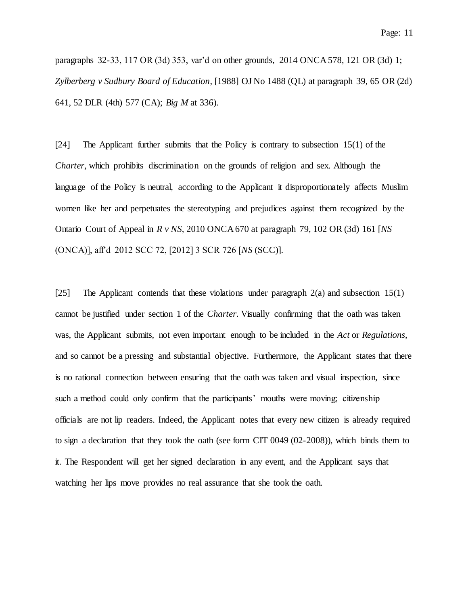paragraphs 32-33, 117 OR (3d) 353, var'd on other grounds, 2014 ONCA 578, 121 OR (3d) 1; *Zylberberg v Sudbury Board of Education*, [1988] OJ No 1488 (QL) at paragraph 39, 65 OR (2d) 641, 52 DLR (4th) 577 (CA); *Big M* at 336).

[24] The Applicant further submits that the Policy is contrary to subsection 15(1) of the *Charter*, which prohibits discrimination on the grounds of religion and sex. Although the language of the Policy is neutral, according to the Applicant it disproportionately affects Muslim women like her and perpetuates the stereotyping and prejudices against them recognized by the Ontario Court of Appeal in *R v NS*, 2010 ONCA 670 at paragraph 79, 102 OR (3d) 161 [*NS* (ONCA)], aff'd 2012 SCC 72, [2012] 3 SCR 726 [*NS* (SCC)].

[25] The Applicant contends that these violations under paragraph 2(a) and subsection 15(1) cannot be justified under section 1 of the *Charter*. Visually confirming that the oath was taken was, the Applicant submits, not even important enough to be included in the *Act* or *Regulations*, and so cannot be a pressing and substantial objective. Furthermore, the Applicant states that there is no rational connection between ensuring that the oath was taken and visual inspection, since such a method could only confirm that the participants' mouths were moving; citizenship officials are not lip readers. Indeed, the Applicant notes that every new citizen is already required to sign a declaration that they took the oath (see form CIT 0049 (02-2008)), which binds them to it. The Respondent will get her signed declaration in any event, and the Applicant says that watching her lips move provides no real assurance that she took the oath.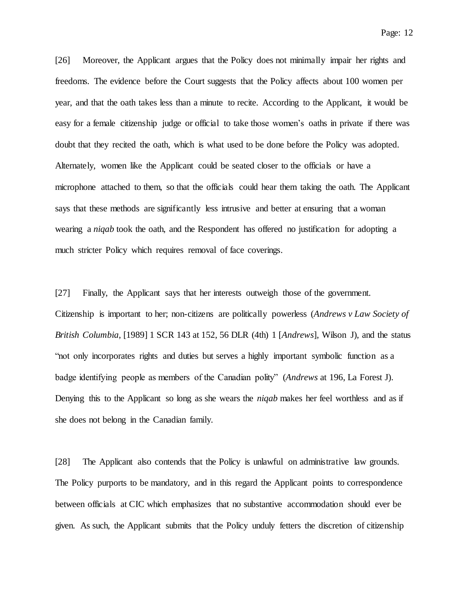Page: 12

[26] Moreover, the Applicant argues that the Policy does not minimally impair her rights and freedoms. The evidence before the Court suggests that the Policy affects about 100 women per year, and that the oath takes less than a minute to recite. According to the Applicant, it would be easy for a female citizenship judge or official to take those women's oaths in private if there was doubt that they recited the oath, which is what used to be done before the Policy was adopted. Alternately, women like the Applicant could be seated closer to the officials or have a microphone attached to them, so that the officials could hear them taking the oath. The Applicant says that these methods are significantly less intrusive and better at ensuring that a woman wearing a *niqab* took the oath, and the Respondent has offered no justification for adopting a much stricter Policy which requires removal of face coverings.

[27] Finally, the Applicant says that her interests outweigh those of the government. Citizenship is important to her; non-citizens are politically powerless (*Andrews v Law Society of British Columbia*, [1989] 1 SCR 143 at 152, 56 DLR (4th) 1 [*Andrews*], Wilson J), and the status "not only incorporates rights and duties but serves a highly important symbolic function as a badge identifying people as members of the Canadian polity" (*Andrews* at 196, La Forest J). Denying this to the Applicant so long as she wears the *niqab* makes her feel worthless and as if she does not belong in the Canadian family.

[28] The Applicant also contends that the Policy is unlawful on administrative law grounds. The Policy purports to be mandatory, and in this regard the Applicant points to correspondence between officials at CIC which emphasizes that no substantive accommodation should ever be given. As such, the Applicant submits that the Policy unduly fetters the discretion of citizenship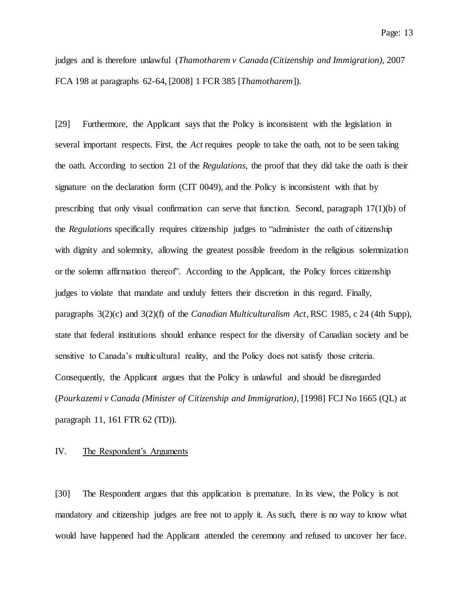judges and is therefore unlawful (*Thamotharem v Canada (Citizenship and Immigration)*, 2007 FCA 198 at paragraphs 62-64, [2008] 1 FCR 385 [*Thamotharem*]).

[29] Furthermore, the Applicant says that the Policy is inconsistent with the legislation in several important respects. First, the *Act* requires people to take the oath, not to be seen taking the oath. According to section 21 of the *Regulations*, the proof that they did take the oath is their signature on the declaration form (CIT 0049), and the Policy is inconsistent with that by prescribing that only visual confirmation can serve that function. Second, paragraph 17(1)(b) of the *Regulations* specifically requires citizenship judges to "administer the oath of citizenship with dignity and solemnity, allowing the greatest possible freedom in the religious solemnization or the solemn affirmation thereof". According to the Applicant, the Policy forces citizenship judges to violate that mandate and unduly fetters their discretion in this regard. Finally, paragraphs 3(2)(c) and 3(2)(f) of the *Canadian Multiculturalism Act*, RSC 1985, c 24 (4th Supp), state that federal institutions should enhance respect for the diversity of Canadian society and be sensitive to Canada's multicultural reality, and the Policy does not satisfy those criteria. Consequently, the Applicant argues that the Policy is unlawful and should be disregarded (*Pourkazemi v Canada (Minister of Citizenship and Immigration)*, [1998] FCJ No 1665 (QL) at paragraph 11, 161 FTR 62 (TD)).

## IV. The Respondent's Arguments

[30] The Respondent argues that this application is premature. In its view, the Policy is not mandatory and citizenship judges are free not to apply it. As such, there is no way to know what would have happened had the Applicant attended the ceremony and refused to uncover her face.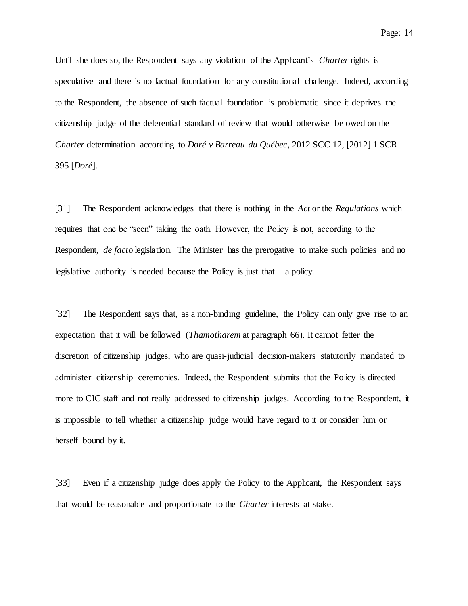Page: 14

Until she does so, the Respondent says any violation of the Applicant's *Charter* rights is speculative and there is no factual foundation for any constitutional challenge. Indeed, according to the Respondent, the absence of such factual foundation is problematic since it deprives the citizenship judge of the deferential standard of review that would otherwise be owed on the *Charter* determination according to *Doré v Barreau du Québec*, 2012 SCC 12, [2012] 1 SCR 395 [*Doré*].

[31] The Respondent acknowledges that there is nothing in the *Act* or the *Regulations* which requires that one be "seen" taking the oath. However, the Policy is not, according to the Respondent, *de facto* legislation. The Minister has the prerogative to make such policies and no legislative authority is needed because the Policy is just that  $-$  a policy.

[32] The Respondent says that, as a non-binding guideline, the Policy can only give rise to an expectation that it will be followed (*Thamotharem* at paragraph 66). It cannot fetter the discretion of citizenship judges, who are quasi-judicial decision-makers statutorily mandated to administer citizenship ceremonies. Indeed, the Respondent submits that the Policy is directed more to CIC staff and not really addressed to citizenship judges. According to the Respondent, it is impossible to tell whether a citizenship judge would have regard to it or consider him or herself bound by it.

[33] Even if a citizenship judge does apply the Policy to the Applicant, the Respondent says that would be reasonable and proportionate to the *Charter* interests at stake.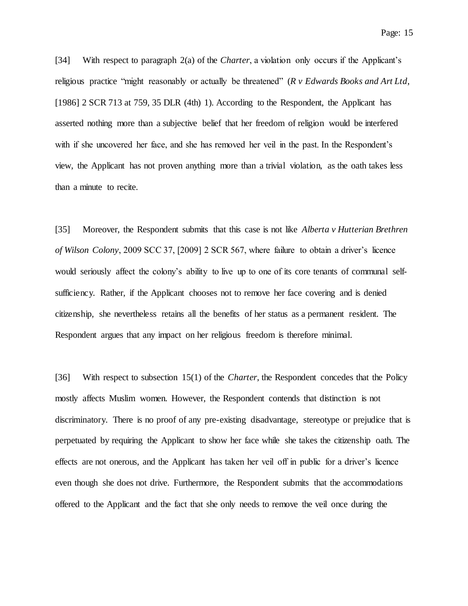Page: 15

[34] With respect to paragraph 2(a) of the *Charter*, a violation only occurs if the Applicant's religious practice "might reasonably or actually be threatened" (*R v Edwards Books and Art Ltd*, [1986] 2 SCR 713 at 759, 35 DLR (4th) 1). According to the Respondent, the Applicant has asserted nothing more than a subjective belief that her freedom of religion would be interfered with if she uncovered her face, and she has removed her veil in the past. In the Respondent's view, the Applicant has not proven anything more than a trivial violation, as the oath takes less than a minute to recite.

[35] Moreover, the Respondent submits that this case is not like *Alberta v Hutterian Brethren of Wilson Colony*, 2009 SCC 37, [2009] 2 SCR 567, where failure to obtain a driver's licence would seriously affect the colony's ability to live up to one of its core tenants of communal selfsufficiency. Rather, if the Applicant chooses not to remove her face covering and is denied citizenship, she nevertheless retains all the benefits of her status as a permanent resident. The Respondent argues that any impact on her religious freedom is therefore minimal.

[36] With respect to subsection 15(1) of the *Charter*, the Respondent concedes that the Policy mostly affects Muslim women. However, the Respondent contends that distinction is not discriminatory. There is no proof of any pre-existing disadvantage, stereotype or prejudice that is perpetuated by requiring the Applicant to show her face while she takes the citizenship oath. The effects are not onerous, and the Applicant has taken her veil off in public for a driver's licence even though she does not drive. Furthermore, the Respondent submits that the accommodations offered to the Applicant and the fact that she only needs to remove the veil once during the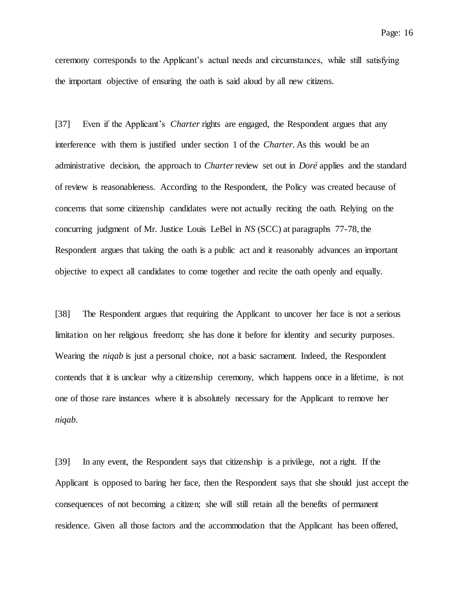ceremony corresponds to the Applicant's actual needs and circumstances, while still satisfying the important objective of ensuring the oath is said aloud by all new citizens.

[37] Even if the Applicant's *Charter* rights are engaged, the Respondent argues that any interference with them is justified under section 1 of the *Charter*. As this would be an administrative decision, the approach to *Charter*review set out in *Doré* applies and the standard of review is reasonableness. According to the Respondent, the Policy was created because of concerns that some citizenship candidates were not actually reciting the oath. Relying on the concurring judgment of Mr. Justice Louis LeBel in *NS* (SCC) at paragraphs 77-78, the Respondent argues that taking the oath is a public act and it reasonably advances an important objective to expect all candidates to come together and recite the oath openly and equally.

[38] The Respondent argues that requiring the Applicant to uncover her face is not a serious limitation on her religious freedom; she has done it before for identity and security purposes. Wearing the *niqab* is just a personal choice, not a basic sacrament. Indeed, the Respondent contends that it is unclear why a citizenship ceremony, which happens once in a lifetime, is not one of those rare instances where it is absolutely necessary for the Applicant to remove her *niqab*.

[39] In any event, the Respondent says that citizenship is a privilege, not a right. If the Applicant is opposed to baring her face, then the Respondent says that she should just accept the consequences of not becoming a citizen; she will still retain all the benefits of permanent residence. Given all those factors and the accommodation that the Applicant has been offered,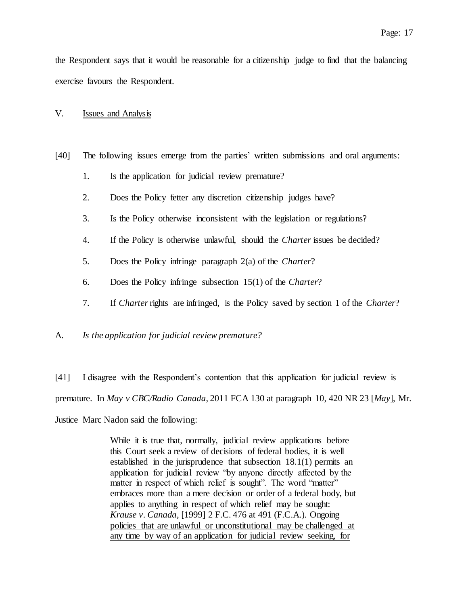the Respondent says that it would be reasonable for a citizenship judge to find that the balancing exercise favours the Respondent.

### V. Issues and Analysis

- [40] The following issues emerge from the parties' written submissions and oral arguments:
	- 1. Is the application for judicial review premature?
	- 2. Does the Policy fetter any discretion citizenship judges have?
	- 3. Is the Policy otherwise inconsistent with the legislation or regulations?
	- 4. If the Policy is otherwise unlawful, should the *Charter* issues be decided?
	- 5. Does the Policy infringe paragraph 2(a) of the *Charter*?
	- 6. Does the Policy infringe subsection 15(1) of the *Charter*?
	- 7. If *Charter*rights are infringed, is the Policy saved by section 1 of the *Charter*?

#### A. *Is the application for judicial review premature?*

[41] I disagree with the Respondent's contention that this application for judicial review is premature. In *May v CBC/Radio Canada*, 2011 FCA 130 at paragraph 10, 420 NR 23 [*May*], Mr. Justice Marc Nadon said the following:

> While it is true that, normally, judicial review applications before this Court seek a review of decisions of federal bodies, it is well established in the jurisprudence that subsection 18.1(1) permits an application for judicial review "by anyone directly affected by the matter in respect of which relief is sought". The word "matter" embraces more than a mere decision or order of a federal body, but applies to anything in respect of which relief may be sought: *Krause v. Canada*, [1999] 2 F.C. 476 at 491 (F.C.A.). Ongoing policies that are unlawful or unconstitutional may be challenged at any time by way of an application for judicial review seeking, for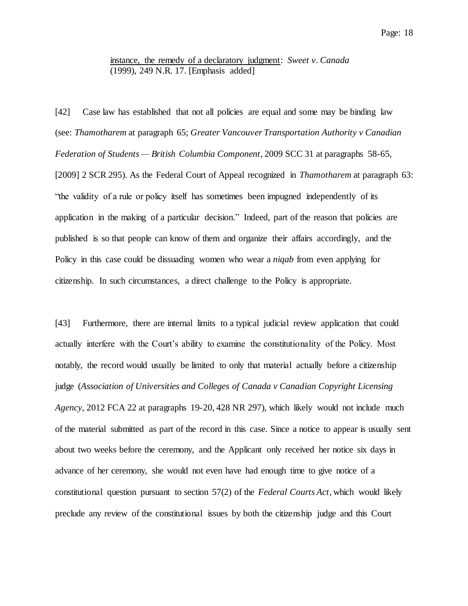## instance, the remedy of a declaratory judgment: *Sweet v. Canada* (1999), 249 N.R. 17. [Emphasis added]

[42] Case law has established that not all policies are equal and some may be binding law (see: *Thamotharem* at paragraph 65; *Greater Vancouver Transportation Authority v Canadian Federation of Students — British Columbia Component*, 2009 SCC 31 at paragraphs 58-65, [2009] 2 SCR 295). As the Federal Court of Appeal recognized in *Thamotharem* at paragraph 63: "the validity of a rule or policy itself has sometimes been impugned independently of its application in the making of a particular decision." Indeed, part of the reason that policies are published is so that people can know of them and organize their affairs accordingly, and the Policy in this case could be dissuading women who wear a *niqab* from even applying for citizenship. In such circumstances, a direct challenge to the Policy is appropriate.

[43] Furthermore, there are internal limits to a typical judicial review application that could actually interfere with the Court's ability to examine the constitutionality of the Policy. Most notably, the record would usually be limited to only that material actually before a citizenship judge (*Association of Universities and Colleges of Canada v Canadian Copyright Licensing Agency*, 2012 FCA 22 at paragraphs 19-20, 428 NR 297), which likely would not include much of the material submitted as part of the record in this case. Since a notice to appear is usually sent about two weeks before the ceremony, and the Applicant only received her notice six days in advance of her ceremony, she would not even have had enough time to give notice of a constitutional question pursuant to section 57(2) of the *Federal Courts Act*, which would likely preclude any review of the constitutional issues by both the citizenship judge and this Court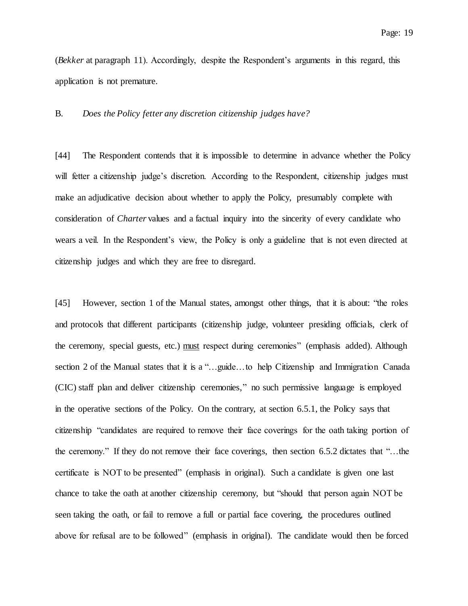(*Bekker* at paragraph 11). Accordingly, despite the Respondent's arguments in this regard, this application is not premature.

### B. *Does the Policy fetter any discretion citizenship judges have?*

[44] The Respondent contends that it is impossible to determine in advance whether the Policy will fetter a citizenship judge's discretion. According to the Respondent, citizenship judges must make an adjudicative decision about whether to apply the Policy, presumably complete with consideration of *Charter* values and a factual inquiry into the sincerity of every candidate who wears a veil. In the Respondent's view, the Policy is only a guideline that is not even directed at citizenship judges and which they are free to disregard.

[45] However, section 1 of the Manual states, amongst other things, that it is about: "the roles and protocols that different participants (citizenship judge, volunteer presiding officials, clerk of the ceremony, special guests, etc.) must respect during ceremonies" (emphasis added). Although section 2 of the Manual states that it is a "…guide…to help Citizenship and Immigration Canada" (CIC) staff plan and deliver citizenship ceremonies," no such permissive language is employed in the operative sections of the Policy. On the contrary, at section 6.5.1, the Policy says that citizenship "candidates are required to remove their face coverings for the oath taking portion of the ceremony." If they do not remove their face coverings, then section 6.5.2 dictates that "…the certificate is NOT to be presented" (emphasis in original). Such a candidate is given one last chance to take the oath at another citizenship ceremony, but "should that person again NOT be seen taking the oath, or fail to remove a full or partial face covering, the procedures outlined above for refusal are to be followed" (emphasis in original). The candidate would then be forced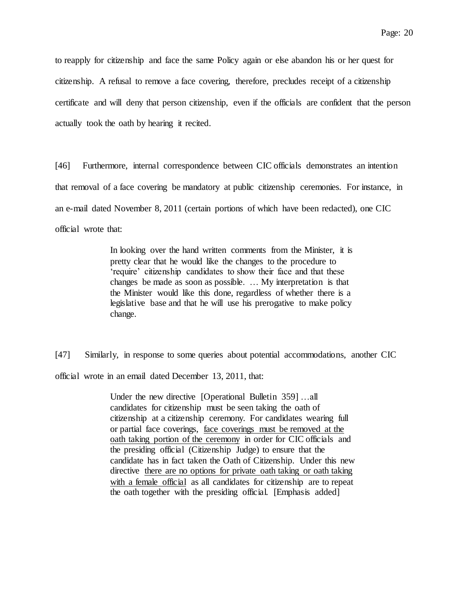to reapply for citizenship and face the same Policy again or else abandon his or her quest for citizenship. A refusal to remove a face covering, therefore, precludes receipt of a citizenship certificate and will deny that person citizenship, even if the officials are confident that the person actually took the oath by hearing it recited.

[46] Furthermore, internal correspondence between CIC officials demonstrates an intention that removal of a face covering be mandatory at public citizenship ceremonies. For instance, in an e-mail dated November 8, 2011 (certain portions of which have been redacted), one CIC official wrote that:

> In looking over the hand written comments from the Minister, it is pretty clear that he would like the changes to the procedure to 'require' citizenship candidates to show their face and that these changes be made as soon as possible. … My interpretation is that the Minister would like this done, regardless of whether there is a legislative base and that he will use his prerogative to make policy change.

[47] Similarly, in response to some queries about potential accommodations, another CIC official wrote in an email dated December 13, 2011, that:

> Under the new directive [Operational Bulletin 359] …all candidates for citizenship must be seen taking the oath of citizenship at a citizenship ceremony. For candidates wearing full or partial face coverings, face coverings must be removed at the oath taking portion of the ceremony in order for CIC officials and the presiding official (Citizenship Judge) to ensure that the candidate has in fact taken the Oath of Citizenship. Under this new directive there are no options for private oath taking or oath taking with a female official as all candidates for citizenship are to repeat the oath together with the presiding official. [Emphasis added]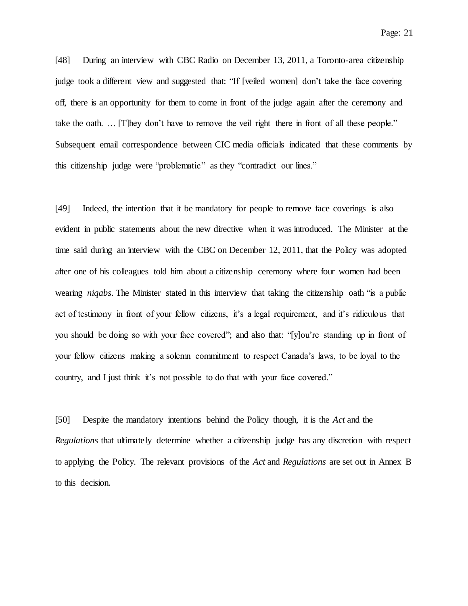[48] During an interview with CBC Radio on December 13, 2011, a Toronto-area citizenship judge took a different view and suggested that: "If [veiled women] don't take the face covering off, there is an opportunity for them to come in front of the judge again after the ceremony and take the oath. … [T]hey don't have to remove the veil right there in front of all these people." Subsequent email correspondence between CIC media officials indicated that these comments by this citizenship judge were "problematic" as they "contradict our lines."

[49] Indeed, the intention that it be mandatory for people to remove face coverings is also evident in public statements about the new directive when it was introduced. The Minister at the time said during an interview with the CBC on December 12, 2011, that the Policy was adopted after one of his colleagues told him about a citizenship ceremony where four women had been wearing *niqabs*. The Minister stated in this interview that taking the citizenship oath "is a public act of testimony in front of your fellow citizens, it's a legal requirement, and it's ridiculous that you should be doing so with your face covered"; and also that: "[y]ou're standing up in front of your fellow citizens making a solemn commitment to respect Canada's laws, to be loyal to the country, and I just think it's not possible to do that with your face covered."

[50] Despite the mandatory intentions behind the Policy though, it is the *Act* and the *Regulations* that ultimately determine whether a citizenship judge has any discretion with respect to applying the Policy. The relevant provisions of the *Act* and *Regulations* are set out in Annex B to this decision.

Page: 21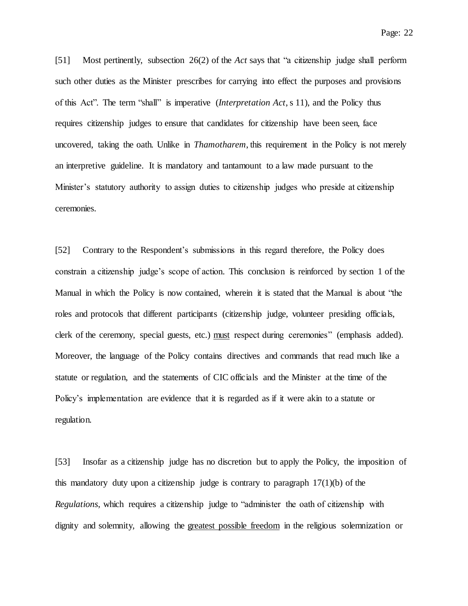[51] Most pertinently, subsection 26(2) of the *Act* says that "a citizenship judge shall perform such other duties as the Minister prescribes for carrying into effect the purposes and provisions of this Act". The term "shall" is imperative (*Interpretation Act*, s 11), and the Policy thus requires citizenship judges to ensure that candidates for citizenship have been seen, face uncovered, taking the oath. Unlike in *Thamotharem*, this requirement in the Policy is not merely an interpretive guideline. It is mandatory and tantamount to a law made pursuant to the Minister's statutory authority to assign duties to citizenship judges who preside at citizenship ceremonies.

[52] Contrary to the Respondent's submissions in this regard therefore, the Policy does constrain a citizenship judge's scope of action. This conclusion is reinforced by section 1 of the Manual in which the Policy is now contained, wherein it is stated that the Manual is about "the roles and protocols that different participants (citizenship judge, volunteer presiding officials, clerk of the ceremony, special guests, etc.) must respect during ceremonies" (emphasis added). Moreover, the language of the Policy contains directives and commands that read much like a statute or regulation, and the statements of CIC officials and the Minister at the time of the Policy's implementation are evidence that it is regarded as if it were akin to a statute or regulation.

[53] Insofar as a citizenship judge has no discretion but to apply the Policy, the imposition of this mandatory duty upon a citizenship judge is contrary to paragraph  $17(1)(b)$  of the *Regulations*, which requires a citizenship judge to "administer the oath of citizenship with dignity and solemnity, allowing the greatest possible freedom in the religious solemnization or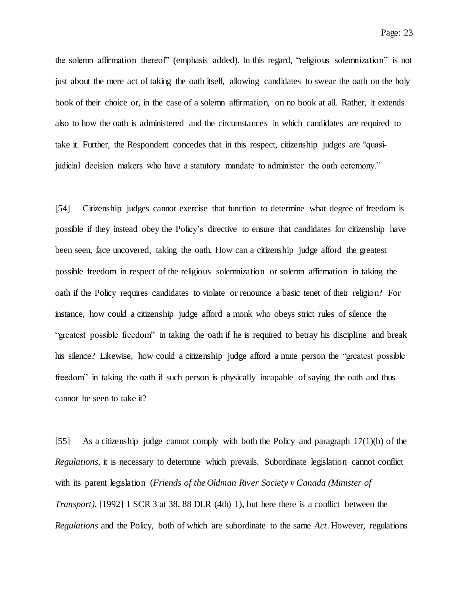the solemn affirmation thereof" (emphasis added). In this regard, "religious solemnization" is not just about the mere act of taking the oath itself, allowing candidates to swear the oath on the holy book of their choice or, in the case of a solemn affirmation, on no book at all. Rather, it extends also to how the oath is administered and the circumstances in which candidates are required to take it. Further, the Respondent concedes that in this respect, citizenship judges are "quasijudicial decision makers who have a statutory mandate to administer the oath ceremony."

[54] Citizenship judges cannot exercise that function to determine what degree of freedom is possible if they instead obey the Policy's directive to ensure that candidates for citizenship have been seen, face uncovered, taking the oath. How can a citizenship judge afford the greatest possible freedom in respect of the religious solemnization or solemn affirmation in taking the oath if the Policy requires candidates to violate or renounce a basic tenet of their religion? For instance, how could a citizenship judge afford a monk who obeys strict rules of silence the "greatest possible freedom" in taking the oath if he is required to betray his discipline and break his silence? Likewise, how could a citizenship judge afford a mute person the "greatest possible freedom" in taking the oath if such person is physically incapable of saying the oath and thus cannot be seen to take it?

[55] As a citizenship judge cannot comply with both the Policy and paragraph 17(1)(b) of the *Regulations*, it is necessary to determine which prevails. Subordinate legislation cannot conflict with its parent legislation (*Friends of the Oldman River Society v Canada (Minister of Transport)*, [1992] 1 SCR 3 at 38, 88 DLR (4th) 1), but here there is a conflict between the *Regulations* and the Policy, both of which are subordinate to the same *Act*. However, regulations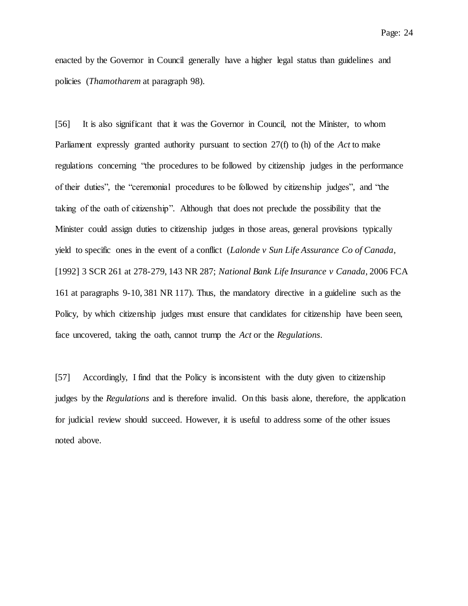enacted by the Governor in Council generally have a higher legal status than guidelines and policies (*Thamotharem* at paragraph 98).

[56] It is also significant that it was the Governor in Council, not the Minister, to whom Parliament expressly granted authority pursuant to section 27(f) to (h) of the *Act* to make regulations concerning "the procedures to be followed by citizenship judges in the performance of their duties", the "ceremonial procedures to be followed by citizenship judges", and "the taking of the oath of citizenship". Although that does not preclude the possibility that the Minister could assign duties to citizenship judges in those areas, general provisions typically yield to specific ones in the event of a conflict (*Lalonde v Sun Life Assurance Co of Canada*, [1992] 3 SCR 261 at 278-279, 143 NR 287; *National Bank Life Insurance v Canada*, 2006 FCA 161 at paragraphs 9-10, 381 NR 117). Thus, the mandatory directive in a guideline such as the Policy, by which citizenship judges must ensure that candidates for citizenship have been seen, face uncovered, taking the oath, cannot trump the *Act* or the *Regulations*.

[57] Accordingly, I find that the Policy is inconsistent with the duty given to citizenship judges by the *Regulations* and is therefore invalid. On this basis alone, therefore, the application for judicial review should succeed. However, it is useful to address some of the other issues noted above.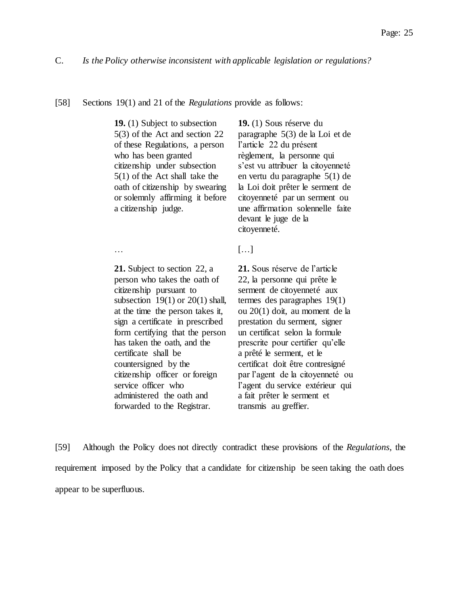#### [58] Sections 19(1) and 21 of the *Regulations* provide as follows:

**19.** (1) Subject to subsection 5(3) of the Act and section 22 of these Regulations, a person who has been granted citizenship under subsection 5(1) of the Act shall take the oath of citizenship by swearing or solemnly affirming it before a citizenship judge.

**19.** (1) Sous réserve du paragraphe 5(3) de la Loi et de l'article 22 du présent règlement, la personne qui s'est vu attribuer la citoyenneté en vertu du paragraphe 5(1) de la Loi doit prêter le serment de citoyenneté par un serment ou une affirmation solennelle faite devant le juge de la citoyenneté.

**21.** Subject to section 22, a person who takes the oath of citizenship pursuant to subsection  $19(1)$  or  $20(1)$  shall, at the time the person takes it, sign a certificate in prescribed form certifying that the person has taken the oath, and the certificate shall be countersigned by the citizenship officer or foreign service officer who administered the oath and forwarded to the Registrar.

… **[…]** 

**21.** Sous réserve de l'article 22, la personne qui prête le serment de citoyenneté aux termes des paragraphes 19(1) ou 20(1) doit, au moment de la prestation du serment, signer un certificat selon la formule prescrite pour certifier qu'elle a prêté le serment, et le certificat doit être contresigné par l'agent de la citoyenneté ou l'agent du service extérieur qui a fait prêter le serment et transmis au greffier.

[59] Although the Policy does not directly contradict these provisions of the *Regulations*, the requirement imposed by the Policy that a candidate for citizenship be seen taking the oath does appear to be superfluous.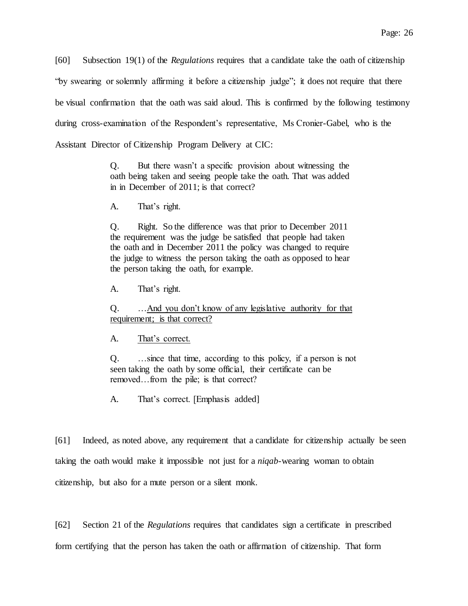[60] Subsection 19(1) of the *Regulations* requires that a candidate take the oath of citizenship "by swearing or solemnly affirming it before a citizenship judge"; it does not require that there be visual confirmation that the oath was said aloud. This is confirmed by the following testimony during cross-examination of the Respondent's representative, Ms Cronier-Gabel, who is the Assistant Director of Citizenship Program Delivery at CIC:

> Q. But there wasn't a specific provision about witnessing the oath being taken and seeing people take the oath. That was added in in December of 2011; is that correct?

A. That's right.

Q. Right. So the difference was that prior to December 2011 the requirement was the judge be satisfied that people had taken the oath and in December 2011 the policy was changed to require the judge to witness the person taking the oath as opposed to hear the person taking the oath, for example.

A. That's right.

Q. …And you don't know of any legislative authority for that requirement; is that correct?

A. That's correct.

Q. …since that time, according to this policy, if a person is not seen taking the oath by some official, their certificate can be removed…from the pile; is that correct?

A. That's correct. [Emphasis added]

[61] Indeed, as noted above, any requirement that a candidate for citizenship actually be seen taking the oath would make it impossible not just for a *niqab*-wearing woman to obtain citizenship, but also for a mute person or a silent monk.

[62] Section 21 of the *Regulations* requires that candidates sign a certificate in prescribed form certifying that the person has taken the oath or affirmation of citizenship. That form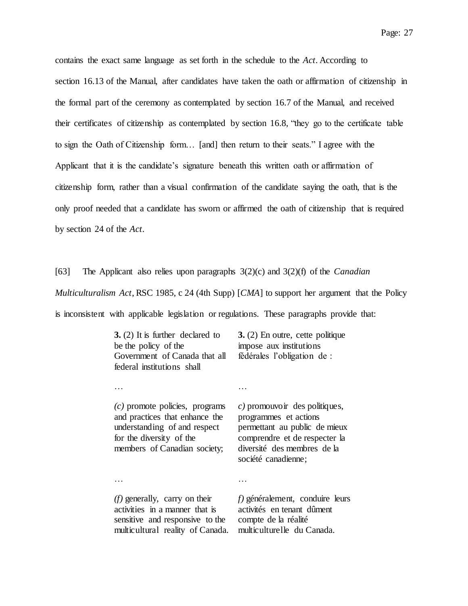contains the exact same language as set forth in the schedule to the *Act*. According to section 16.13 of the Manual, after candidates have taken the oath or affirmation of citizenship in the formal part of the ceremony as contemplated by section 16.7 of the Manual, and received their certificates of citizenship as contemplated by section 16.8, "they go to the certificate table to sign the Oath of Citizenship form… [and] then return to their seats." I agree with the Applicant that it is the candidate's signature beneath this written oath or affirmation of citizenship form, rather than a visual confirmation of the candidate saying the oath, that is the only proof needed that a candidate has sworn or affirmed the oath of citizenship that is required by section 24 of the *Act*.

[63] The Applicant also relies upon paragraphs 3(2)(c) and 3(2)(f) of the *Canadian Multiculturalism Act*, RSC 1985, c 24 (4th Supp) [*CMA*] to support her argument that the Policy is inconsistent with applicable legislation or regulations. These paragraphs provide that:

| $3. (2)$ It is further declared to<br>be the policy of the<br>Government of Canada that all<br>federal institutions shall                                      | $3. (2)$ En outre, cette politique<br>impose aux institutions<br>fédérales l'obligation de :                                                                                   |
|----------------------------------------------------------------------------------------------------------------------------------------------------------------|--------------------------------------------------------------------------------------------------------------------------------------------------------------------------------|
|                                                                                                                                                                |                                                                                                                                                                                |
| $(c)$ promote policies, programs<br>and practices that enhance the<br>understanding of and respect<br>for the diversity of the<br>members of Canadian society; | c) promouvoir des politiques,<br>programmes et actions<br>permettant au public de mieux<br>comprendre et de respecter la<br>diversité des membres de la<br>société canadienne; |
|                                                                                                                                                                |                                                                                                                                                                                |
| $(f)$ generally, carry on their<br>activities in a manner that is<br>sensitive and responsive to the<br>multicultural reality of Canada.                       | $f$ ) généralement, conduire leurs<br>activités en tenant dûment<br>compte de la réalité<br>multiculturelle du Canada.                                                         |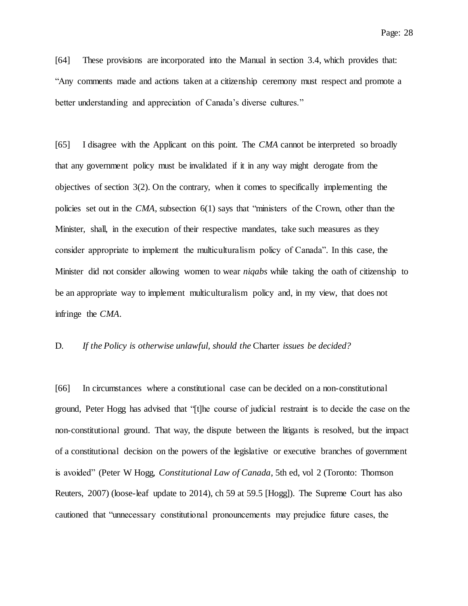[64] These provisions are incorporated into the Manual in section 3.4, which provides that: "Any comments made and actions taken at a citizenship ceremony must respect and promote a better understanding and appreciation of Canada's diverse cultures."

[65] I disagree with the Applicant on this point. The *CMA* cannot be interpreted so broadly that any government policy must be invalidated if it in any way might derogate from the objectives of section 3(2). On the contrary, when it comes to specifically implementing the policies set out in the *CMA*, subsection 6(1) says that "ministers of the Crown, other than the Minister, shall, in the execution of their respective mandates, take such measures as they consider appropriate to implement the multiculturalism policy of Canada". In this case, the Minister did not consider allowing women to wear *niqabs* while taking the oath of citizenship to be an appropriate way to implement multiculturalism policy and, in my view, that does not infringe the *CMA*.

### D. *If the Policy is otherwise unlawful, should the* Charter *issues be decided?*

[66] In circumstances where a constitutional case can be decided on a non-constitutional ground, Peter Hogg has advised that "[t]he course of judicial restraint is to decide the case on the non-constitutional ground. That way, the dispute between the litigants is resolved, but the impact of a constitutional decision on the powers of the legislative or executive branches of government is avoided" (Peter W Hogg, *Constitutional Law of Canada*, 5th ed, vol 2 (Toronto: Thomson Reuters, 2007) (loose-leaf update to 2014), ch 59 at 59.5 [Hogg]). The Supreme Court has also cautioned that "unnecessary constitutional pronouncements may prejudice future cases, the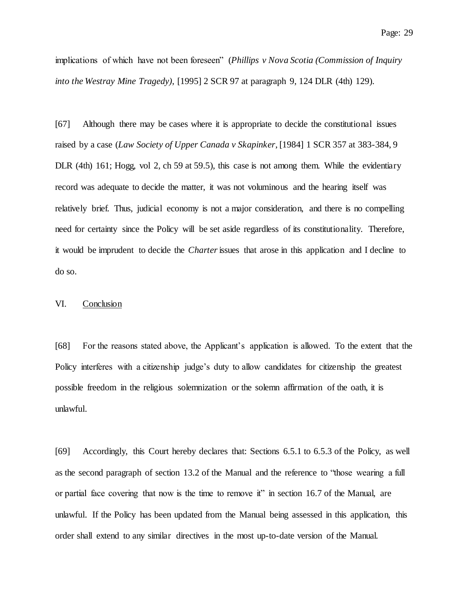implications of which have not been foreseen" (*Phillips v Nova Scotia (Commission of Inquiry into the Westray Mine Tragedy)*, [1995] 2 SCR 97 at paragraph 9, 124 DLR (4th) 129).

[67] Although there may be cases where it is appropriate to decide the constitutional issues raised by a case (*Law Society of Upper Canada v Skapinker*, [1984] 1 SCR 357 at 383-384, 9 DLR (4th) 161; Hogg, vol 2, ch 59 at 59.5), this case is not among them. While the evidentiary record was adequate to decide the matter, it was not voluminous and the hearing itself was relatively brief. Thus, judicial economy is not a major consideration, and there is no compelling need for certainty since the Policy will be set aside regardless of its constitutionality. Therefore, it would be imprudent to decide the *Charter*issues that arose in this application and I decline to do so.

## VI. Conclusion

[68] For the reasons stated above, the Applicant's application is allowed. To the extent that the Policy interferes with a citizenship judge's duty to allow candidates for citizenship the greatest possible freedom in the religious solemnization or the solemn affirmation of the oath, it is unlawful.

[69] Accordingly, this Court hereby declares that: Sections 6.5.1 to 6.5.3 of the Policy, as well as the second paragraph of section 13.2 of the Manual and the reference to "those wearing a full or partial face covering that now is the time to remove it" in section 16.7 of the Manual, are unlawful. If the Policy has been updated from the Manual being assessed in this application, this order shall extend to any similar directives in the most up-to-date version of the Manual.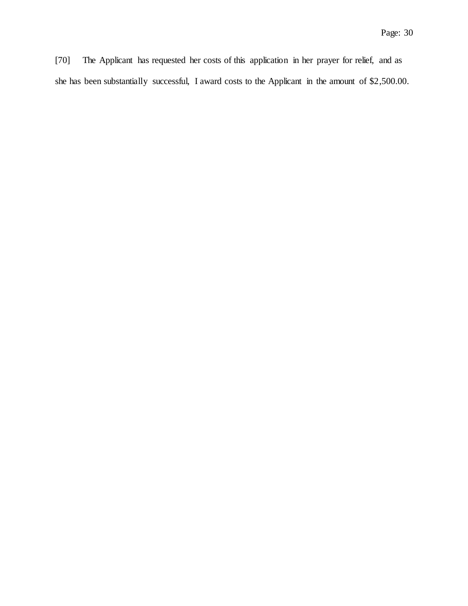[70] The Applicant has requested her costs of this application in her prayer for relief, and as she has been substantially successful, I award costs to the Applicant in the amount of \$2,500.00.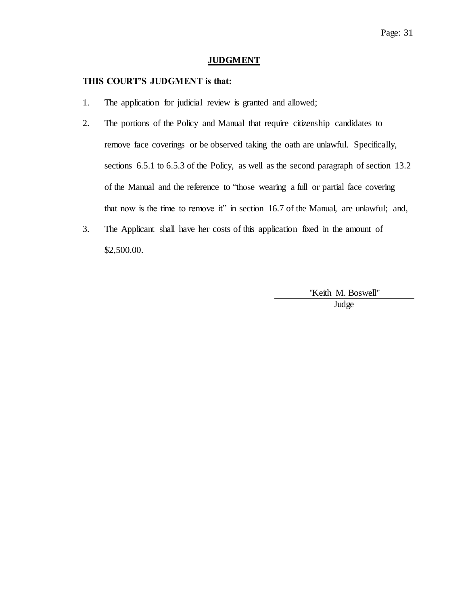### **JUDGMENT**

### **THIS COURT'S JUDGMENT is that:**

- 1. The application for judicial review is granted and allowed;
- 2. The portions of the Policy and Manual that require citizenship candidates to remove face coverings or be observed taking the oath are unlawful. Specifically, sections 6.5.1 to 6.5.3 of the Policy, as well as the second paragraph of section 13.2 of the Manual and the reference to "those wearing a full or partial face covering that now is the time to remove it" in section 16.7 of the Manual, are unlawful; and,
- 3. The Applicant shall have her costs of this application fixed in the amount of \$2,500.00.

"Keith M. Boswell"

Judge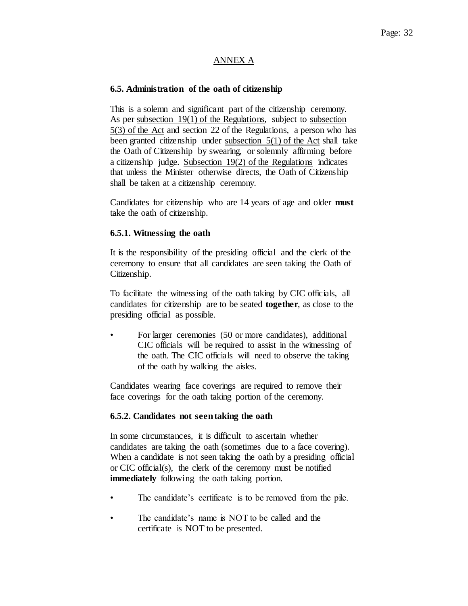## ANNEX A

## **6.5. Administration of the oath of citizenship**

This is a solemn and significant part of the citizenship ceremony. As per subsection 19(1) of the Regulations, subject to subsection 5(3) of the Act and section 22 of the Regulations, a person who has been granted citizenship under subsection 5(1) of the Act shall take the Oath of Citizenship by swearing, or solemnly affirming before a citizenship judge. Subsection 19(2) of the Regulations indicates that unless the Minister otherwise directs, the Oath of Citizenship shall be taken at a citizenship ceremony.

Candidates for citizenship who are 14 years of age and older **must** take the oath of citizenship.

## **6.5.1. Witnessing the oath**

It is the responsibility of the presiding official and the clerk of the ceremony to ensure that all candidates are seen taking the Oath of Citizenship.

To facilitate the witnessing of the oath taking by CIC officials, all candidates for citizenship are to be seated **together**, as close to the presiding official as possible.

• For larger ceremonies (50 or more candidates), additional CIC officials will be required to assist in the witnessing of the oath. The CIC officials will need to observe the taking of the oath by walking the aisles.

Candidates wearing face coverings are required to remove their face coverings for the oath taking portion of the ceremony.

## **6.5.2. Candidates not seen taking the oath**

In some circumstances, it is difficult to ascertain whether candidates are taking the oath (sometimes due to a face covering). When a candidate is not seen taking the oath by a presiding official or CIC official(s), the clerk of the ceremony must be notified **immediately** following the oath taking portion.

- The candidate's certificate is to be removed from the pile.
- The candidate's name is NOT to be called and the certificate is NOT to be presented.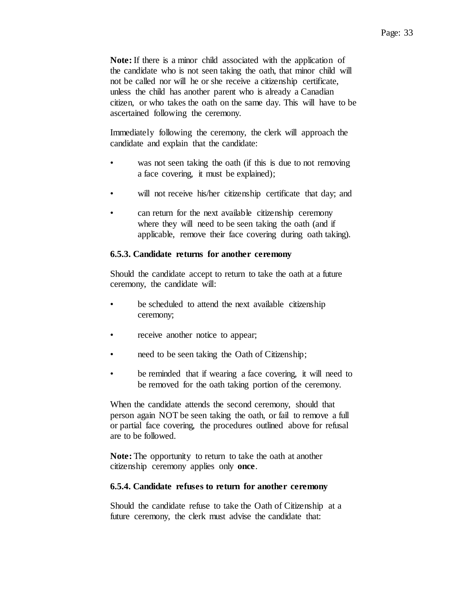**Note:** If there is a minor child associated with the application of the candidate who is not seen taking the oath, that minor child will not be called nor will he or she receive a citizenship certificate, unless the child has another parent who is already a Canadian citizen, or who takes the oath on the same day. This will have to be ascertained following the ceremony.

Immediately following the ceremony, the clerk will approach the candidate and explain that the candidate:

- was not seen taking the oath (if this is due to not removing a face covering, it must be explained);
- will not receive his/her citizenship certificate that day; and
- can return for the next available citizenship ceremony where they will need to be seen taking the oath (and if applicable, remove their face covering during oath taking).

### **6.5.3. Candidate returns for another ceremony**

Should the candidate accept to return to take the oath at a future ceremony, the candidate will:

- be scheduled to attend the next available citizenship ceremony;
- receive another notice to appear;
- need to be seen taking the Oath of Citizenship;
- be reminded that if wearing a face covering, it will need to be removed for the oath taking portion of the ceremony.

When the candidate attends the second ceremony, should that person again NOT be seen taking the oath, or fail to remove a full or partial face covering, the procedures outlined above for refusal are to be followed.

**Note:** The opportunity to return to take the oath at another citizenship ceremony applies only **once**.

### **6.5.4. Candidate refuses to return for another ceremony**

Should the candidate refuse to take the Oath of Citizenship at a future ceremony, the clerk must advise the candidate that: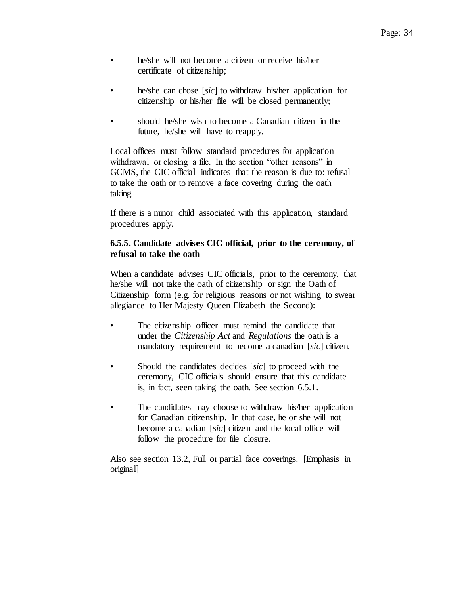- he/she will not become a citizen or receive his/her certificate of citizenship;
- he/she can chose [*sic*] to withdraw his/her application for citizenship or his/her file will be closed permanently;
- should he/she wish to become a Canadian citizen in the future, he/she will have to reapply.

Local offices must follow standard procedures for application withdrawal or closing a file. In the section "other reasons" in GCMS, the CIC official indicates that the reason is due to: refusal to take the oath or to remove a face covering during the oath taking.

If there is a minor child associated with this application, standard procedures apply.

## **6.5.5. Candidate advises CIC official, prior to the ceremony, of refusal to take the oath**

When a candidate advises CIC officials, prior to the ceremony, that he/she will not take the oath of citizenship or sign the Oath of Citizenship form (e.g. for religious reasons or not wishing to swear allegiance to Her Majesty Queen Elizabeth the Second):

- The citizenship officer must remind the candidate that under the *Citizenship Act* and *Regulations* the oath is a mandatory requirement to become a canadian [*sic*] citizen.
- Should the candidates decides [*sic*] to proceed with the ceremony, CIC officials should ensure that this candidate is, in fact, seen taking the oath. See section 6.5.1.
- The candidates may choose to withdraw his/her application for Canadian citizenship. In that case, he or she will not become a canadian [*sic*] citizen and the local office will follow the procedure for file closure.

Also see section 13.2, Full or partial face coverings. [Emphasis in original]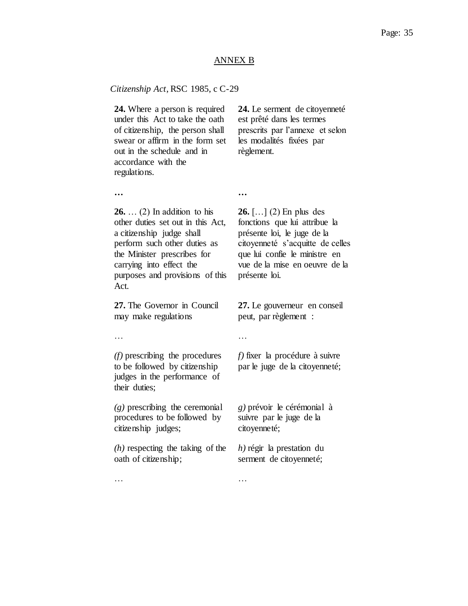#### ANNEX B

#### *Citizenship Act*, RSC 1985, c C-29

**24.** Where a person is required under this Act to take the oath of citizenship, the person shall swear or affirm in the form set out in the schedule and in accordance with the regulations.

**24.** Le serment de citoyenneté est prêté dans les termes prescrits par l'annexe et selon les modalités fixées par règlement.

**… …**

**26.** … (2) In addition to his other duties set out in this Act, a citizenship judge shall perform such other duties as the Minister prescribes for carrying into effect the purposes and provisions of this Act.

**27.** The Governor in Council may make regulations

**26.** […] (2) En plus des fonctions que lui attribue la présente loi, le juge de la citoyenneté s'acquitte de celles que lui confie le ministre en vue de la mise en oeuvre de la présente loi.

**27.** Le gouverneur en conseil peut, par règlement :

… … … … … … … … … … … … …

*(f)* prescribing the procedures to be followed by citizenship judges in the performance of their duties;

*(g)* prescribing the ceremonial procedures to be followed by citizenship judges;

*(h)* respecting the taking of the oath of citizenship;

*f)* fixer la procédure à suivre par le juge de la citoyenneté;

*g)* prévoir le cérémonial à suivre par le juge de la citoyenneté;

*h)* régir la prestation du serment de citoyenneté;

… … … … … … … … … … … … …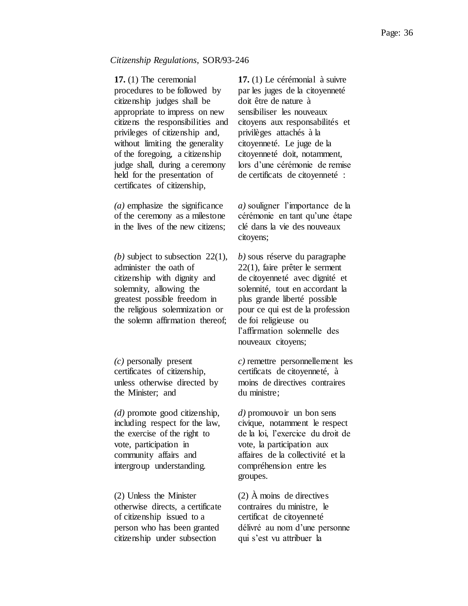#### *Citizenship Regulations*, SOR/93-246

**17.** (1) The ceremonial procedures to be followed by citizenship judges shall be appropriate to impress on new citizens the responsibilities and privileges of citizenship and, without limiting the generality of the foregoing, a citizenship judge shall, during a ceremony held for the presentation of certificates of citizenship,

*(a)* emphasize the significance of the ceremony as a milestone in the lives of the new citizens;

*(b)* subject to subsection 22(1), administer the oath of citizenship with dignity and solemnity, allowing the greatest possible freedom in the religious solemnization or the solemn affirmation thereof;

*(c)* personally present certificates of citizenship, unless otherwise directed by the Minister; and

*(d)* promote good citizenship, including respect for the law, the exercise of the right to vote, participation in community affairs and intergroup understanding.

(2) Unless the Minister otherwise directs, a certificate of citizenship issued to a person who has been granted citizenship under subsection

**17.** (1) Le cérémonial à suivre par les juges de la citoyenneté doit être de nature à sensibiliser les nouveaux citoyens aux responsabilités et privilèges attachés à la citoyenneté. Le juge de la citoyenneté doit, notamment, lors d'une cérémonie de remise de certificats de citoyenneté :

*a)* souligner l'importance de la cérémonie en tant qu'une étape clé dans la vie des nouveaux citoyens;

*b)* sous réserve du paragraphe 22(1), faire prêter le serment de citoyenneté avec dignité et solennité, tout en accordant la plus grande liberté possible pour ce qui est de la profession de foi religieuse ou l'affirmation solennelle des nouveaux citoyens;

*c)* remettre personnellement les certificats de citoyenneté, à moins de directives contraires du ministre;

*d)* promouvoir un bon sens civique, notamment le respect de la loi, l'exercice du droit de vote, la participation aux affaires de la collectivité et la compréhension entre les groupes.

(2) À moins de directives contraires du ministre, le certificat de citoyenneté délivré au nom d'une personne qui s'est vu attribuer la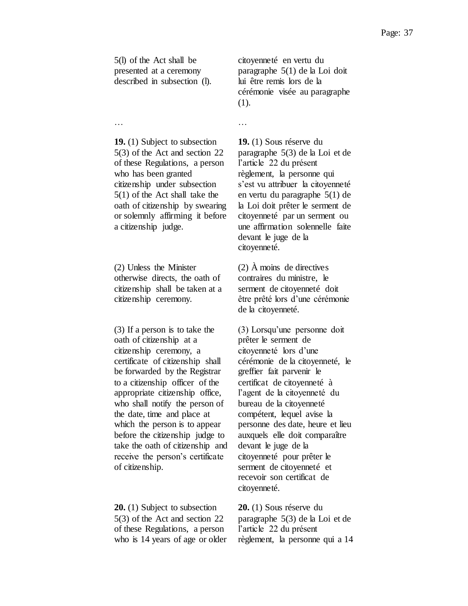5(l) of the Act shall be presented at a ceremony described in subsection (l). citoyenneté en vertu du paragraphe 5(1) de la Loi doit lui être remis lors de la cérémonie visée au paragraphe (1).

**19.** (1) Subject to subsection 5(3) of the Act and section 22 of these Regulations, a person who has been granted citizenship under subsection 5(1) of the Act shall take the oath of citizenship by swearing or solemnly affirming it before a citizenship judge.

(2) Unless the Minister otherwise directs, the oath of citizenship shall be taken at a citizenship ceremony.

(3) If a person is to take the oath of citizenship at a citizenship ceremony, a certificate of citizenship shall be forwarded by the Registrar to a citizenship officer of the appropriate citizenship office, who shall notify the person of the date, time and place at which the person is to appear before the citizenship judge to take the oath of citizenship and receive the person's certificate of citizenship.

**20.** (1) Subject to subsection 5(3) of the Act and section 22 of these Regulations, a person who is 14 years of age or older

… … … … … … … … … … … … …

**19.** (1) Sous réserve du paragraphe 5(3) de la Loi et de l'article 22 du présent règlement, la personne qui s'est vu attribuer la citoyenneté en vertu du paragraphe 5(1) de la Loi doit prêter le serment de citoyenneté par un serment ou une affirmation solennelle faite devant le juge de la citoyenneté.

(2) À moins de directives contraires du ministre, le serment de citoyenneté doit être prêté lors d'une cérémonie de la citoyenneté.

(3) Lorsqu'une personne doit prêter le serment de citoyenneté lors d'une cérémonie de la citoyenneté, le greffier fait parvenir le certificat de citoyenneté à l'agent de la citoyenneté du bureau de la citoyenneté compétent, lequel avise la personne des date, heure et lieu auxquels elle doit comparaître devant le juge de la citoyenneté pour prêter le serment de citoyenneté et recevoir son certificat de citoyenneté.

**20.** (1) Sous réserve du paragraphe 5(3) de la Loi et de l'article 22 du présent règlement, la personne qui a 14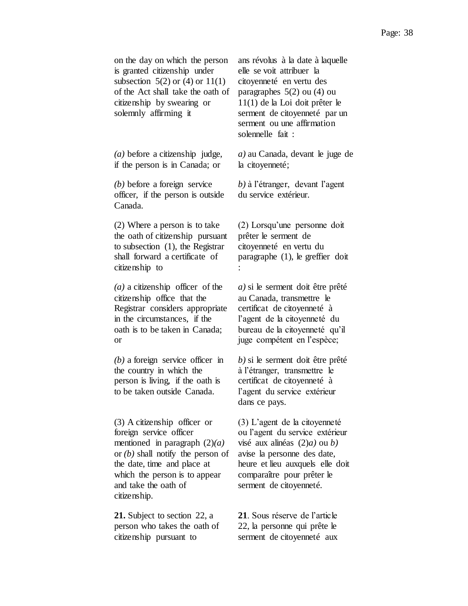| on the day on which the person<br>is granted citizenship under<br>subsection $5(2)$ or $(4)$ or $11(1)$<br>of the Act shall take the oath of<br>citizenship by swearing or<br>solemnly affirming it                                         | ans révolus à la date à laquelle<br>elle se voit attribuer la<br>citoyenneté en vertu des<br>paragraphes $5(2)$ ou $(4)$ ou<br>$11(1)$ de la Loi doit prêter le<br>serment de citoyenneté par un<br>serment ou une affirmation<br>solennelle fait : |
|---------------------------------------------------------------------------------------------------------------------------------------------------------------------------------------------------------------------------------------------|-----------------------------------------------------------------------------------------------------------------------------------------------------------------------------------------------------------------------------------------------------|
| $(a)$ before a citizenship judge,<br>if the person is in Canada; or                                                                                                                                                                         | $a)$ au Canada, devant le juge de<br>la citoyenneté;                                                                                                                                                                                                |
| $(b)$ before a foreign service<br>officer, if the person is outside<br>Canada.                                                                                                                                                              | b) à l'étranger, devant l'agent<br>du service extérieur.                                                                                                                                                                                            |
| $(2)$ Where a person is to take<br>the oath of citizenship pursuant<br>to subsection $(1)$ , the Registrar<br>shall forward a certificate of<br>citizenship to                                                                              | (2) Lorsqu'une personne doit<br>prêter le serment de<br>citoyenneté en vertu du<br>paragraphe $(1)$ , le greffier doit                                                                                                                              |
| $(a)$ a citizenship officer of the<br>citizenship office that the<br>Registrar considers appropriate<br>in the circumstances, if the<br>oath is to be taken in Canada;<br><b>or</b>                                                         | $a)$ si le serment doit être prêté<br>au Canada, transmettre le<br>certificat de citoyenneté à<br>l'agent de la citoyenneté du<br>bureau de la citoyenneté qu'il<br>juge compétent en l'espèce;                                                     |
| $(b)$ a foreign service officer in<br>the country in which the<br>person is living, if the oath is<br>to be taken outside Canada.                                                                                                           | $b$ ) si le serment doit être prêté<br>à l'étranger, transmettre le<br>certificat de citoyenneté à<br>l'agent du service extérieur<br>dans ce pays.                                                                                                 |
| $(3)$ A citizenship officer or<br>foreign service officer<br>mentioned in paragraph $(2)(a)$<br>or $(b)$ shall notify the person of<br>the date, time and place at<br>which the person is to appear<br>and take the oath of<br>citizenship. | (3) L'agent de la citoyenneté<br>ou l'agent du service extérieur<br>visé aux alinéas $(2)a$ ou b)<br>avise la personne des date,<br>heure et lieu auxquels elle doit<br>comparaître pour prêter le<br>serment de citoyenneté.                       |
| <b>21.</b> Subject to section 22, a                                                                                                                                                                                                         | 21. Sous réserve de l'article                                                                                                                                                                                                                       |

person who takes the oath of citizenship pursuant to

**21**. Sous réserve de l'article 22, la personne qui prête le serment de citoyenneté aux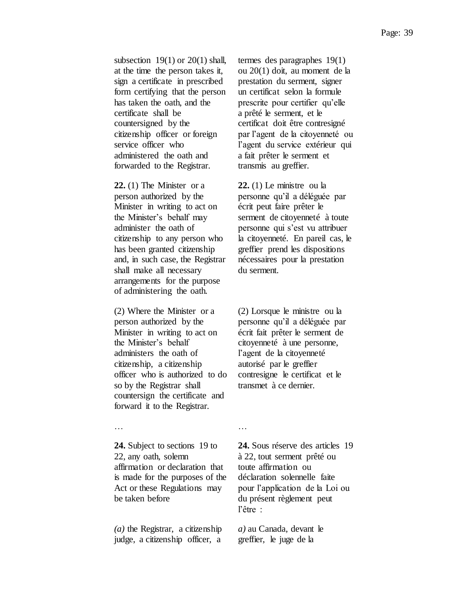subsection  $19(1)$  or  $20(1)$  shall, at the time the person takes it, sign a certificate in prescribed form certifying that the person has taken the oath, and the certificate shall be countersigned by the citizenship officer or foreign service officer who administered the oath and forwarded to the Registrar.

**22.** (1) The Minister or a person authorized by the Minister in writing to act on the Minister's behalf may administer the oath of citizenship to any person who has been granted citizenship and, in such case, the Registrar shall make all necessary arrangements for the purpose of administering the oath.

(2) Where the Minister or a person authorized by the Minister in writing to act on the Minister's behalf administers the oath of citizenship, a citizenship officer who is authorized to do so by the Registrar shall countersign the certificate and forward it to the Registrar.

termes des paragraphes 19(1) ou 20(1) doit, au moment de la prestation du serment, signer un certificat selon la formule prescrite pour certifier qu'elle a prêté le serment, et le certificat doit être contresigné par l'agent de la citoyenneté ou l'agent du service extérieur qui a fait prêter le serment et transmis au greffier.

**22.** (1) Le ministre ou la personne qu'il a déléguée par écrit peut faire prêter le serment de citoyenneté à toute personne qui s'est vu attribuer la citoyenneté. En pareil cas, le greffier prend les dispositions nécessaires pour la prestation du serment.

(2) Lorsque le ministre ou la personne qu'il a déléguée par écrit fait prêter le serment de citoyenneté à une personne, l'agent de la citoyenneté autorisé par le greffier contresigne le certificat et le transmet à ce dernier.

… … … … … … … … … … … … …

**24.** Subject to sections 19 to 22, any oath, solemn affirmation or declaration that is made for the purposes of the Act or these Regulations may be taken before

*(a)* the Registrar, a citizenship judge, a citizenship officer, a **24.** Sous réserve des articles 19 à 22, tout serment prêté ou toute affirmation ou déclaration solennelle faite pour l'application de la Loi ou du présent règlement peut l'être :

*a)* au Canada, devant le greffier, le juge de la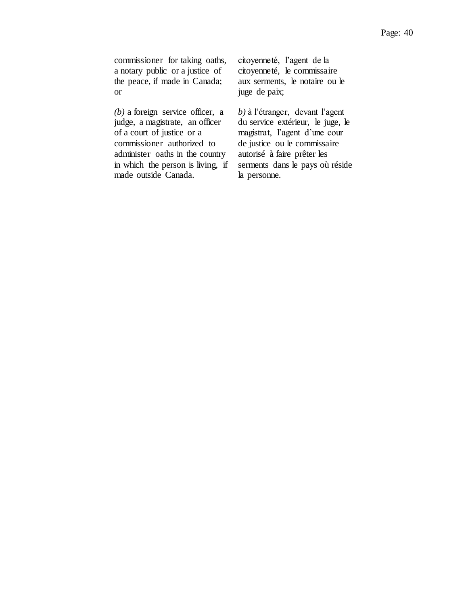commissioner for taking oaths, a notary public or a justice of the peace, if made in Canada; or

*(b)* a foreign service officer, a judge, a magistrate, an officer of a court of justice or a commissioner authorized to administer oaths in the country in which the person is living, if made outside Canada.

citoyenneté, l'agent de la citoyenneté, le commissaire aux serments, le notaire ou le juge de paix;

*b*) à l'étranger, devant l'agent du service extérieur, le juge, le magistrat, l'agent d'une cour de justice ou le commissaire autorisé à faire prêter les serments dans le pays où réside la personne.